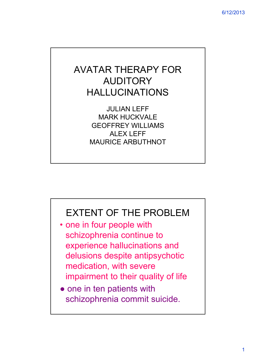# AVATAR THERAPY FOR AUDITORY HALLUCINATIONS

JULIAN LEFF MARK HUCKVALE GEOFFREY WILLIAMS ALEX LEFF MAURICE ARBUTHNOT

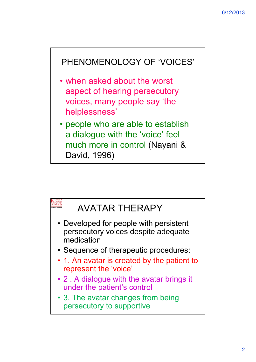

- when asked about the worst aspect of hearing persecutory voices, many people say 'the helplessness'
- people who are able to establish a dialogue with the 'voice' feel much more in control (Nayani & David, 1996)

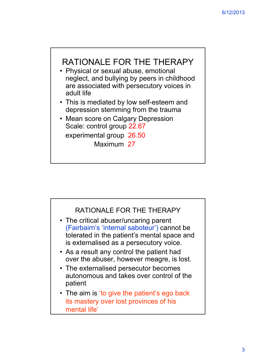

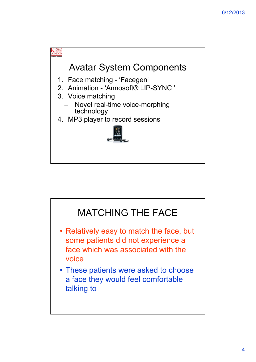

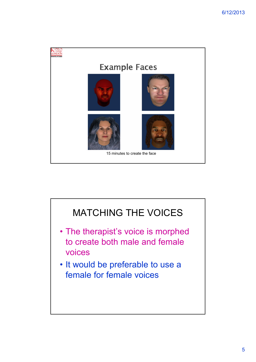

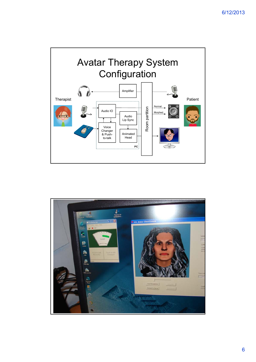

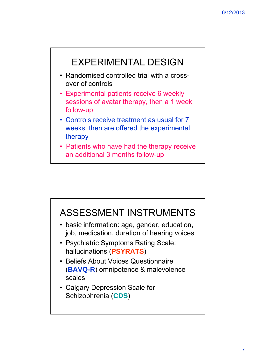

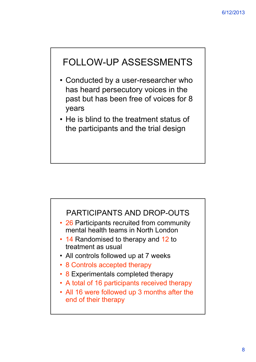### FOLLOW-UP ASSESSMENTS

- Conducted by a user-researcher who has heard persecutory voices in the past but has been free of voices for 8 years
- He is blind to the treatment status of the participants and the trial design



- 26 Participants recruited from community mental health teams in North London
- 14 Randomised to therapy and 12 to treatment as usual
- All controls followed up at 7 weeks
- 8 Controls accepted therapy
- 8 Experimentals completed therapy
- A total of 16 participants received therapy
- All 16 were followed up 3 months after the end of their therapy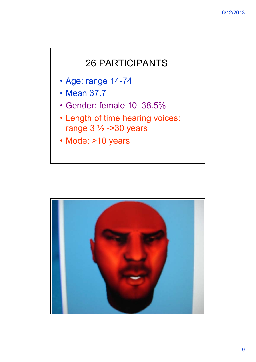#### 26 PARTICIPANTS

- Age: range 14-74
- Mean 37.7
- Gender: female 10, 38.5%
- Length of time hearing voices: range  $3\frac{1}{2}$  ->30 years
- Mode: >10 years

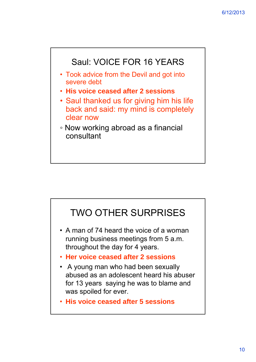

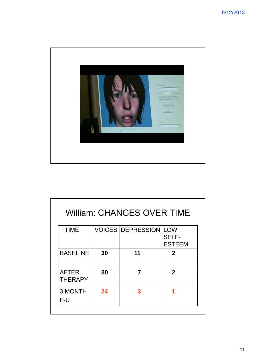

| William: CHANGES OVER TIME     |    |                          |                                             |  |  |  |  |
|--------------------------------|----|--------------------------|---------------------------------------------|--|--|--|--|
| <b>TIME</b>                    |    | <b>VOICES DEPRESSION</b> | <b>LOW</b><br><b>SELF-</b><br><b>ESTEEM</b> |  |  |  |  |
| <b>BASELINE</b>                | 30 | 11                       | $\mathbf{2}$                                |  |  |  |  |
| <b>AFTER</b><br><b>THERAPY</b> | 30 | 7                        | $\mathbf{2}$                                |  |  |  |  |
| <b>3 MONTH</b><br>F-U          | 24 | 3                        |                                             |  |  |  |  |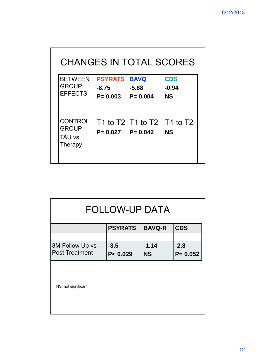| CHANGES IN TOTAL SCORES                                    |                                        |                                                 |                                    |  |  |  |  |
|------------------------------------------------------------|----------------------------------------|-------------------------------------------------|------------------------------------|--|--|--|--|
| <b>BETWEEN</b><br><b>GROUP</b><br><b>EFFECTS</b>           | <b>PSYRATS</b><br>-8.75<br>$P = 0.003$ | <b>BAVQ</b><br>$-5.88$<br>$P = 0.004$           | <b>CDS</b><br>$-0.94$<br><b>NS</b> |  |  |  |  |
| <b>CONTROL</b><br><b>GROUP</b><br><b>TAU vs</b><br>Therapy | $P = 0.027$                            | T1 to T2 $ T1$ to T2 $ T1$ to T2<br>$P = 0.042$ | <b>NS</b>                          |  |  |  |  |

| FOLLOW-UP DATA        |                |               |             |  |  |  |  |
|-----------------------|----------------|---------------|-------------|--|--|--|--|
|                       | <b>PSYRATS</b> | <b>BAVQ-R</b> | <b>CDS</b>  |  |  |  |  |
|                       |                |               |             |  |  |  |  |
| 3M Follow Up vs       | $-3.5$         | $-1.14$       | $-2.8$      |  |  |  |  |
| <b>Post Treatment</b> | P < 0.029      | <b>NS</b>     | $P = 0.052$ |  |  |  |  |
| NS: not significant   |                |               |             |  |  |  |  |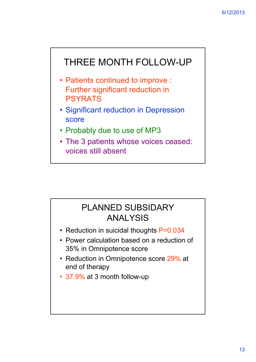### THREE MONTH FOLLOW-UP

- Patients continued to improve : Further significant reduction in PSYRATS
- Significant reduction in Depression score
- Probably due to use of MP3
- The 3 patients whose voices ceased: voices still absent

#### PLANNED SUBSIDARY ANALYSIS

- Reduction in suicidal thoughts P=0.034
- Power calculation based on a reduction of 35% in Omnipotence score
- Reduction in Omnipotence score 29% at end of therapy
- 37.9% at 3 month follow-up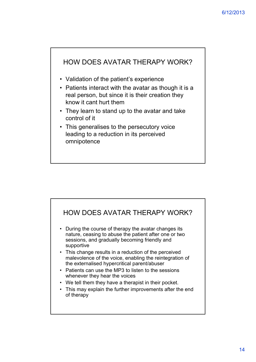

- Validation of the patient's experience
- Patients interact with the avatar as though it is a real person, but since it is their creation they know it cant hurt them
- They learn to stand up to the avatar and take control of it
- This generalises to the persecutory voice leading to a reduction in its perceived omnipotence